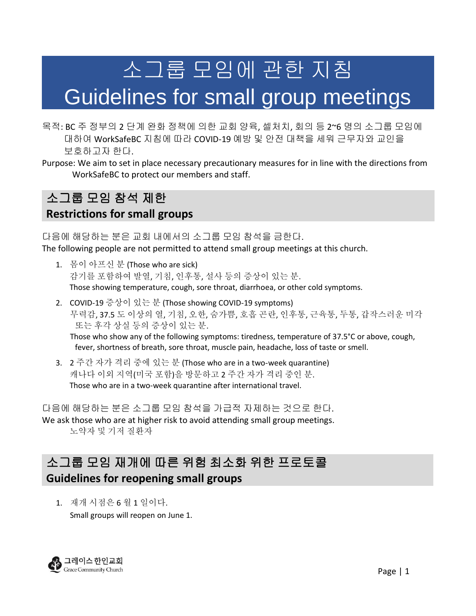# 소그룹 모임에 관한 지침

## Guidelines for small group meetings

- 목적: BC 주 정부의 2 단계 완화 정책에 의한 교회 양육, 셀처치, 회의 등 2~6 명의 소그룹 모임에 대하여 WorkSafeBC 지침에 따라 COVID-19 예방 및 안전 대책을 세워 근무자와 교인을 보호하고자 한다.
- Purpose: We aim to set in place necessary precautionary measures for in line with the directions from WorkSafeBC to protect our members and staff.

## 소그룹 모임 참석 제한

#### **Restrictions for small groups**

#### 다음에 해당하는 분은 교회 내에서의 소그룹 모임 참석을 금한다.

The following people are not permitted to attend small group meetings at this church.

- 1. 몸이 아프신 분 (Those who are sick) 감기를 포함하여 발열, 기침, 인후통, 설사 등의 증상이 있는 분. Those showing temperature, cough, sore throat, diarrhoea, or other cold symptoms.
- 2. COVID-19 증상이 있는 분 (Those showing COVID-19 symptoms) 무력감, 37.5 도 이상의 열, 기침, 오한, 숨가쁨, 호흡 곤란, 인후통, 근육통, 두통, 갑작스러운 미각 또는 후각 상실 등의 증상이 있는 분. Those who show any of the following symptoms: tiredness, temperature of 37.5°C or above, cough, fever, shortness of breath, sore throat, muscle pain, headache, loss of taste or smell.
- 3. 2 주간 자가 격리 중에 있는 분 (Those who are in a two-week quarantine) 캐나다 이외 지역(미국 포함)을 방문하고 2 주간 자가 격리 중인 분. Those who are in a two-week quarantine after international travel.

다음에 해당하는 분은 소그룹 모임 참석을 가급적 자제하는 것으로 한다. We ask those who are at higher risk to avoid attending small group meetings. 노약자 및 기저 질환자

## 소그룹 모임 재개에 따른 위험 최소화 위한 프로토콜 **Guidelines for reopening small groups**

1. 재개 시점은 6 월 1 일이다. Small groups will reopen on June 1.

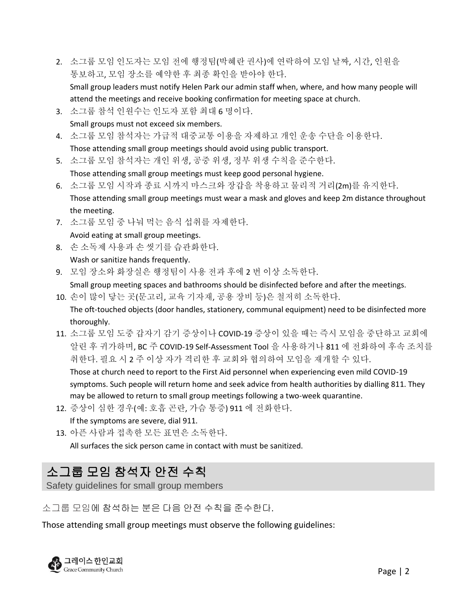- 2. 소그룹 모임 인도자는 모임 전에 행정팀(박혜란 권사)에 연락하여 모임 날짜, 시간, 인원을 통보하고, 모임 장소를 예약한 후 최종 확인을 받아야 한다. Small group leaders must notify Helen Park our admin staff when, where, and how many people will attend the meetings and receive booking confirmation for meeting space at church.
- 3. 소그룹 참석 인원수는 인도자 포함 최대 6 명이다. Small groups must not exceed six members.
- 4. 소그룹 모임 참석자는 가급적 대중교통 이용을 자제하고 개인 운송 수단을 이용한다. Those attending small group meetings should avoid using public transport.
- 5. 소그룹 모임 참석자는 개인 위생, 공중 위생, 정부 위생 수칙을 준수한다.

Those attending small group meetings must keep good personal hygiene.

- 6. 소그룹 모임 시작과 종료 시까지 마스크와 장갑을 착용하고 물리적 거리(2m)를 유지한다. Those attending small group meetings must wear a mask and gloves and keep 2m distance throughout the meeting.
- 7. 소그룹 모임 중 나눠 먹는 음식 섭취를 자제한다.

Avoid eating at small group meetings.

- 8. 손 소독제 사용과 손 씻기를 습관화한다. Wash or sanitize hands frequently.
- 9. 모임 장소와 화장실은 행정팀이 사용 전과 후에 2 번 이상 소독한다.

Small group meeting spaces and bathrooms should be disinfected before and after the meetings.

10. 손이 많이 닿는 곳(문고리, 교육 기자재, 공용 장비 등)은 철저히 소독한다. The oft-touched objects (door handles, stationery, communal equipment) need to be disinfected more

thoroughly.

11. 소그룹 모임 도중 갑자기 감기 증상이나 COVID-19 증상이 있을 때는 즉시 모임을 중단하고 교회에 알린 후 귀가하며, BC 주 COVID-19 Self-Assessment Tool 을 사용하거나 811 에 전화하여 후속 조치를 취한다. 필요 시 2 주 이상 자가 격리한 후 교회와 협의하여 모임을 재개할 수 있다.

Those at church need to report to the First Aid personnel when experiencing even mild COVID-19 symptoms. Such people will return home and seek advice from health authorities by dialling 811. They may be allowed to return to small group meetings following a two-week quarantine.

12. 증상이 심한 경우(예: 호흡 곤란, 가슴 통증) 911 에 전화한다.

If the symptoms are severe, dial 911.

13. 아픈 사람과 접촉한 모든 표면은 소독한다.

All surfaces the sick person came in contact with must be sanitized.

## 소그룹 모임 참석자 안전 수칙

Safety guidelines for small group members

소그룹 모임에 참석하는 분은 다음 안전 수칙을 준수한다.

Those attending small group meetings must observe the following guidelines:

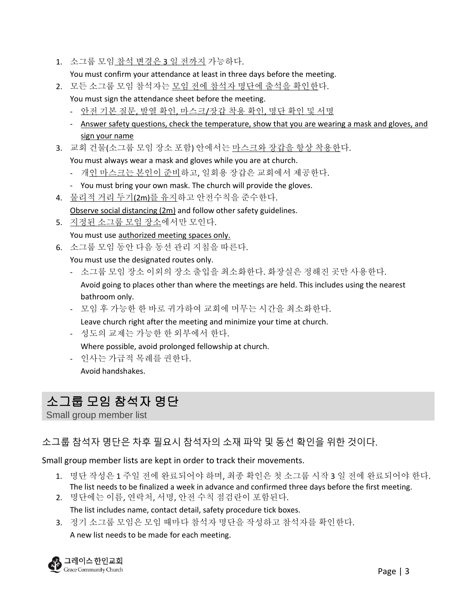1. 소그룹 모임 참석 변경은 3 일 전까지 가능하다.

You must confirm your attendance at least in three days before the meeting.

- 2. 모든 소그룹 모임 참석자는 모임 전에 참석자 명단에 출석을 확인한다.
	- You must sign the attendance sheet before the meeting.
	- 안전 기본 질문, 발열 확인, 마스크/장갑 착용 확인, 명단 확인 및 서명
	- Answer safety questions, check the temperature, show that you are wearing a mask and gloves, and sign your name
- 3. 교회 건물(소그룹 모임 장소 포함) 안에서는 마스크와 장갑을 항상 착용한다.

You must always wear a mask and gloves while you are at church.

- 개인 마스크는 본인이 준비하고, 일회용 장갑은 교회에서 제공한다.
- You must bring your own mask. The church will provide the gloves.
- 4. 물리적 거리 두기(2m)를 유지하고 안전수칙을 준수한다. Observe social distancing (2m) and follow other safety guidelines.
- 5. 지정된 소그룹 모임 장소에서만 모인다.

You must use authorized meeting spaces only.

6. 소그룹 모임 동안 다음 동선 관리 지침을 따른다.

You must use the designated routes only.

- 소그룹 모임 장소 이외의 장소 출입을 최소화한다. 화장실은 정해진 곳만 사용한다. Avoid going to places other than where the meetings are held. This includes using the nearest bathroom only.
- 모임 후 가능한 한 바로 귀가하여 교회에 머무는 시간을 최소화한다. Leave church right after the meeting and minimize your time at church.
- 성도의 교제는 가능한 한 외부에서 한다.

Where possible, avoid prolonged fellowship at church.

- 인사는 가급적 목례를 권한다. Avoid handshakes.

## 소그룹 모임 참석자 명단

Small group member list

#### 소그룹 참석자 명단은 차후 필요시 참석자의 소재 파악 및 동선 확인을 위한 것이다.

Small group member lists are kept in order to track their movements.

- 1. 명단 작성은 1 주일 전에 완료되어야 하며, 최종 확인은 첫 소그룹 시작 3 일 전에 완료되어야 한다. The list needs to be finalized a week in advance and confirmed three days before the first meeting.
- 2. 명단에는 이름, 연락처, 서명, 안전 수칙 점검란이 포함된다. The list includes name, contact detail, safety procedure tick boxes.
- 3. 정기 소그룹 모임은 모임 때마다 참석자 명단을 작성하고 참석자를 확인한다. A new list needs to be made for each meeting.

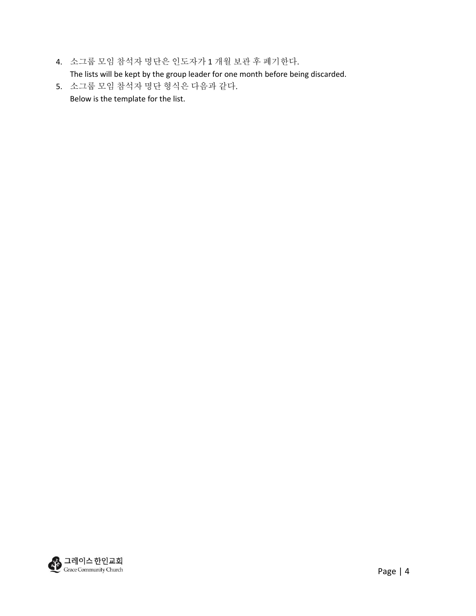- 4. 소그룹 모임 참석자 명단은 인도자가 1 개월 보관 후 폐기한다. The lists will be kept by the group leader for one month before being discarded.
- 5. 소그룹 모임 참석자 명단 형식은 다음과 같다. Below is the template for the list.